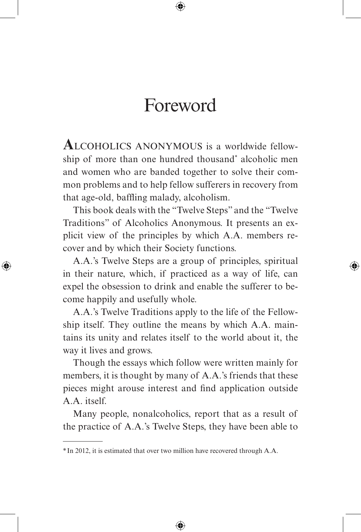## Foreword

**A**lcoholics anonymous is a worldwide fellowship of more than one hundred thousand\* alcoholic men and women who are banded together to solve their common problems and to help fellow sufferers in recovery from that age-old, baffling malady, alcoholism.

This book deals with the "Twelve Steps" and the "Twelve Traditions" of Alcoholics Anonymous. It presents an explicit view of the principles by which A.A. members recover and by which their Society functions.

A.A.'s Twelve Steps are a group of principles, spiritual in their nature, which, if practiced as a way of life, can expel the obsession to drink and enable the sufferer to become happily and usefully whole.

A.A.'s Twelve Traditions apply to the life of the Fellowship itself. They outline the means by which A.A. maintains its unity and relates itself to the world about it, the way it lives and grows.

Though the essays which follow were written mainly for members, it is thought by many of A.A.'s friends that these pieces might arouse interest and find application outside A.A. itself.

Many people, nonalcoholics, report that as a result of the practice of A.A.'s Twelve Steps, they have been able to

<sup>\*</sup> In 2012, it is estimated that over two million have recovered through A.A.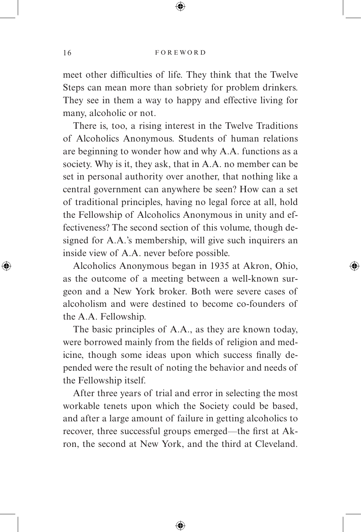meet other difficulties of life. They think that the Twelve Steps can mean more than sobriety for problem drinkers. They see in them a way to happy and effective living for many, alcoholic or not.

There is, too, a rising interest in the Twelve Traditions of Alcoholics Anonymous. Students of human relations are beginning to wonder how and why A.A. functions as a society. Why is it, they ask, that in A.A. no member can be set in personal authority over another, that nothing like a central government can anywhere be seen? How can a set of traditional principles, having no legal force at all, hold the Fellowship of Alcoholics Anonymous in unity and effectiveness? The second section of this volume, though designed for A.A.'s membership, will give such inquirers an inside view of A.A. never before possible.

Alcoholics Anonymous began in 1935 at Akron, Ohio, as the outcome of a meeting between a well-known surgeon and a New York broker. Both were severe cases of alcoholism and were destined to become co-founders of the A.A. Fellowship.

The basic principles of A.A., as they are known today, were borrowed mainly from the fields of religion and medicine, though some ideas upon which success finally depended were the result of noting the behavior and needs of the Fellowship itself.

After three years of trial and error in selecting the most workable tenets upon which the Society could be based, and after a large amount of failure in getting alcoholics to recover, three successful groups emerged—the first at Akron, the second at New York, and the third at Cleveland.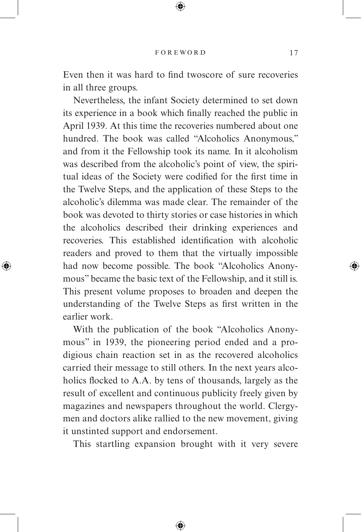Even then it was hard to find twoscore of sure recoveries in all three groups.

Nevertheless, the infant Society determined to set down its experience in a book which finally reached the public in April 1939. At this time the recoveries numbered about one hundred. The book was called "Alcoholics Anonymous," and from it the Fellowship took its name. In it alcoholism was described from the alcoholic's point of view, the spiritual ideas of the Society were codified for the first time in the Twelve Steps, and the application of these Steps to the alcoholic's dilemma was made clear. The remainder of the book was devoted to thirty stories or case histories in which the alcoholics described their drinking experiences and recoveries. This established identification with alcoholic readers and proved to them that the virtually impossible had now become possible. The book "Alcoholics Anonymous" became the basic text of the Fellowship, and it still is. This present volume proposes to broaden and deepen the understanding of the Twelve Steps as first written in the earlier work.

With the publication of the book "Alcoholics Anonymous" in 1939, the pioneering period ended and a prodigious chain reaction set in as the recovered alcoholics carried their message to still others. In the next years alcoholics flocked to A.A. by tens of thousands, largely as the result of excellent and continuous publicity freely given by magazines and newspapers throughout the world. Clergymen and doctors alike rallied to the new movement, giving it unstinted support and endorsement.

This startling expansion brought with it very severe